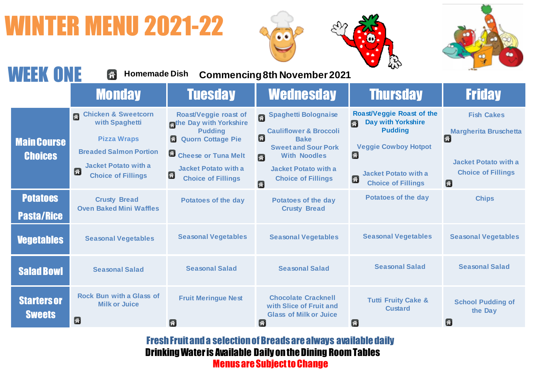## **ITER MENU 2021-22**





| <b>WEEK ONE</b>                      | <b>Homemade Dish</b><br>谷                                                                                                                                                      |                                                                                                                                                                                            | <b>Commencing 8th November 2021</b>                                                                                                                                                                                   | $\sim$                                                                                                                                                                                    |                                                                                                                         |
|--------------------------------------|--------------------------------------------------------------------------------------------------------------------------------------------------------------------------------|--------------------------------------------------------------------------------------------------------------------------------------------------------------------------------------------|-----------------------------------------------------------------------------------------------------------------------------------------------------------------------------------------------------------------------|-------------------------------------------------------------------------------------------------------------------------------------------------------------------------------------------|-------------------------------------------------------------------------------------------------------------------------|
|                                      | <b>Monday</b>                                                                                                                                                                  | <b>Tuesday</b>                                                                                                                                                                             | <b>Wednesday</b>                                                                                                                                                                                                      | <b>Thursday</b>                                                                                                                                                                           | <b>Friday</b>                                                                                                           |
| <b>Main Course</b><br><b>Choices</b> | <b>Chicken &amp; Sweetcorn</b><br>G.<br>with Spaghetti<br><b>Pizza Wraps</b><br><b>Breaded Salmon Portion</b><br><b>Jacket Potato with a</b><br>G<br><b>Choice of Fillings</b> | Roast/Veggie roast of<br>the Day with Yorkshire<br><b>Pudding</b><br>G<br><b>Quorn Cottage Pie</b><br>Cheese or Tuna Melt<br><b>Jacket Potato with a</b><br>G<br><b>Choice of Fillings</b> | <b>Spaghetti Bolognaise</b><br>Ø.<br><b>Cauliflower &amp; Broccoli</b><br>囹<br><b>Bake</b><br><b>Sweet and Sour Pork</b><br><b>With Noodles</b><br>子<br><b>Jacket Potato with a</b><br><b>Choice of Fillings</b><br>國 | <b>Roast/Veggie Roast of the</b><br><b>Day with Yorkshire</b><br>仔<br><b>Pudding</b><br><b>Veggie Cowboy Hotpot</b><br>価<br><b>Jacket Potato with a</b><br>価<br><b>Choice of Fillings</b> | <b>Fish Cakes</b><br><b>Margherita Bruschetta</b><br>価<br><b>Jacket Potato with a</b><br><b>Choice of Fillings</b><br>Ø |
| <b>Potatoes</b><br><b>Pasta/Rice</b> | <b>Crusty Bread</b><br><b>Oven Baked Mini Waffles</b>                                                                                                                          | <b>Potatoes of the day</b>                                                                                                                                                                 | <b>Potatoes of the day</b><br><b>Crusty Bread</b>                                                                                                                                                                     | <b>Potatoes of the day</b>                                                                                                                                                                | <b>Chips</b>                                                                                                            |
| <b>Vegetables</b>                    | <b>Seasonal Vegetables</b>                                                                                                                                                     | <b>Seasonal Vegetables</b>                                                                                                                                                                 | <b>Seasonal Vegetables</b>                                                                                                                                                                                            | <b>Seasonal Vegetables</b>                                                                                                                                                                | <b>Seasonal Vegetables</b>                                                                                              |
| <b>Salad Bowl</b>                    | <b>Seasonal Salad</b>                                                                                                                                                          | <b>Seasonal Salad</b>                                                                                                                                                                      | <b>Seasonal Salad</b>                                                                                                                                                                                                 | <b>Seasonal Salad</b>                                                                                                                                                                     | <b>Seasonal Salad</b>                                                                                                   |
| <b>Starters or</b><br><b>Sweets</b>  | <b>Rock Bun with a Glass of</b><br><b>Milk or Juice</b><br>备                                                                                                                   | <b>Fruit Meringue Nest</b><br>Ð                                                                                                                                                            | <b>Chocolate Cracknell</b><br>with Slice of Fruit and<br><b>Glass of Milk or Juice</b><br>Æ                                                                                                                           | <b>Tutti Fruity Cake &amp;</b><br><b>Custard</b><br>骨                                                                                                                                     | <b>School Pudding of</b><br>the Day<br>併                                                                                |

Fresh Fruit and a selection of Breads are always available daily Drinking Water is Available Daily on the Dining Room Tables Menus are Subject to Change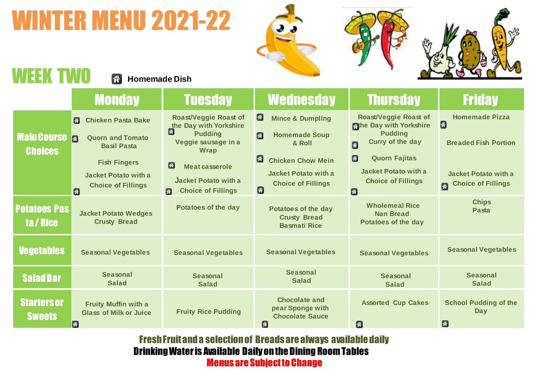## WINTER MENU 2021-22







## WEEK TWO **A** Homemade Dish

|                                      | <b>Monday</b>                                                                                                                                                         | <b>Tuesday</b>                                                                                                                                                                                              | <b>Wednesday</b>                                                                                                                                                                                    | <b>Thursday</b>                                                                                                                                                                                                              | <b>Friday</b>                                                                                                                                   |
|--------------------------------------|-----------------------------------------------------------------------------------------------------------------------------------------------------------------------|-------------------------------------------------------------------------------------------------------------------------------------------------------------------------------------------------------------|-----------------------------------------------------------------------------------------------------------------------------------------------------------------------------------------------------|------------------------------------------------------------------------------------------------------------------------------------------------------------------------------------------------------------------------------|-------------------------------------------------------------------------------------------------------------------------------------------------|
| <b>Main Course</b><br><b>Choices</b> | <b>Chicken Pasta Bake</b><br>G<br><b>Quorn and Tomato</b><br>同<br><b>Basil Pasta</b><br><b>Fish Fingers</b><br>Jacket Potato with a<br><b>Choice of Fillings</b><br>G | <b>Roast/Veggie Roast of</b><br>the Day with Yorkshire<br>6<br><b>Pudding</b><br>Veggie sausage in a<br>Wrap<br>Ø<br><b>Meat casserole</b><br><b>Jacket Potato with a</b><br><b>Choice of Fillings</b><br>商 | $\left  \mathbf{a} \right $<br><b>Mince &amp; Dumpling</b><br><b>Homemade Soup</b><br>份<br>& Roll<br>G<br><b>Chicken Chow Mein</b><br><b>Jacket Potato with a</b><br><b>Choice of Fillings</b><br>Ø | <b>Roast/Veggie Roast of</b><br><b>The Day with Yorkshire</b><br><b>Pudding</b><br><b>Curry of the day</b><br>O<br>$\boldsymbol{a}$<br><b>Quorn Fajitas</b><br><b>Jacket Potato with a</b><br><b>Choice of Fillings</b><br>图 | <b>Homemade Pizza</b><br>$\left[ \mathbf{f} \right]$<br><b>Breaded Fish Portion</b><br><b>Jacket Potato with a</b><br><b>Choice of Fillings</b> |
| <b>Potatoes Pas</b><br>ta / Rice     | <b>Jacket Potato Wedges</b><br><b>Crusty Bread</b>                                                                                                                    | <b>Potatoes of the day</b>                                                                                                                                                                                  | <b>Potatoes of the day</b><br><b>Crusty Bread</b><br><b>Basmati Rice</b>                                                                                                                            | <b>Wholemeal Rice</b><br><b>Nan Bread</b><br>Potatoes of the day                                                                                                                                                             | <b>Chips</b><br>Pasta                                                                                                                           |
| <b>Vegetables</b>                    | <b>Seasonal Vegetables</b>                                                                                                                                            | <b>Seasonal Vegetables</b>                                                                                                                                                                                  | <b>Seasonal Vegetables</b>                                                                                                                                                                          | <b>Seasonal Vegetables</b>                                                                                                                                                                                                   | <b>Seasonal Vegetables</b>                                                                                                                      |
| <b>Salad Bar</b>                     | <b>Seasonal</b><br><b>Salad</b>                                                                                                                                       | <b>Seasonal</b><br><b>Salad</b>                                                                                                                                                                             | <b>Seasonal</b><br><b>Salad</b>                                                                                                                                                                     | <b>Seasonal</b><br><b>Salad</b>                                                                                                                                                                                              | <b>Seasonal</b><br><b>Salad</b>                                                                                                                 |
| <b>Starters or</b><br><b>Sweets</b>  | Fruity Muffin with a<br><b>Glass of Milk or Juice</b><br>æ                                                                                                            | <b>Fruity Rice Pudding</b>                                                                                                                                                                                  | <b>Chocolate and</b><br>pear Sponge with<br><b>Chocolate Sauce</b><br>$\sqrt{2}$                                                                                                                    | <b>Assorted Cup Cakes</b><br><b>A</b>                                                                                                                                                                                        | <b>School Pudding of the</b><br>Day<br>$\left  \cdot \right $                                                                                   |

Fresh Fruit and a selection of Breads are always available daily Drinking Water is Available Daily on the Dining Room Tables Menus are Subject to Change